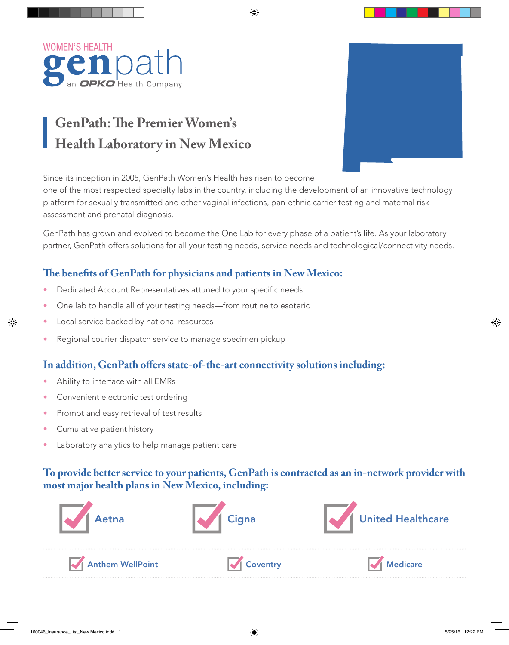

# **GenPath: The Premier Women's Health Laboratory in New Mexico**

Since its inception in 2005, GenPath Women's Health has risen to become

one of the most respected specialty labs in the country, including the development of an innovative technology platform for sexually transmitted and other vaginal infections, pan-ethnic carrier testing and maternal risk assessment and prenatal diagnosis.

GenPath has grown and evolved to become the One Lab for every phase of a patient's life. As your laboratory partner, GenPath offers solutions for all your testing needs, service needs and technological/connectivity needs.

#### **The benefits of GenPath for physicians and patients in New Mexico:**

- Dedicated Account Representatives attuned to your specific needs
- One lab to handle all of your testing needs—from routine to esoteric
- Local service backed by national resources
- Regional courier dispatch service to manage specimen pickup

#### **In addition, GenPath offers state-of-the-art connectivity solutions including:**

- Ability to interface with all EMRs
- Convenient electronic test ordering
- Prompt and easy retrieval of test results
- Cumulative patient history
- Laboratory analytics to help manage patient care

### **To provide better service to your patients, GenPath is contracted as an in-network provider with most major health plans in New Mexico, including:**